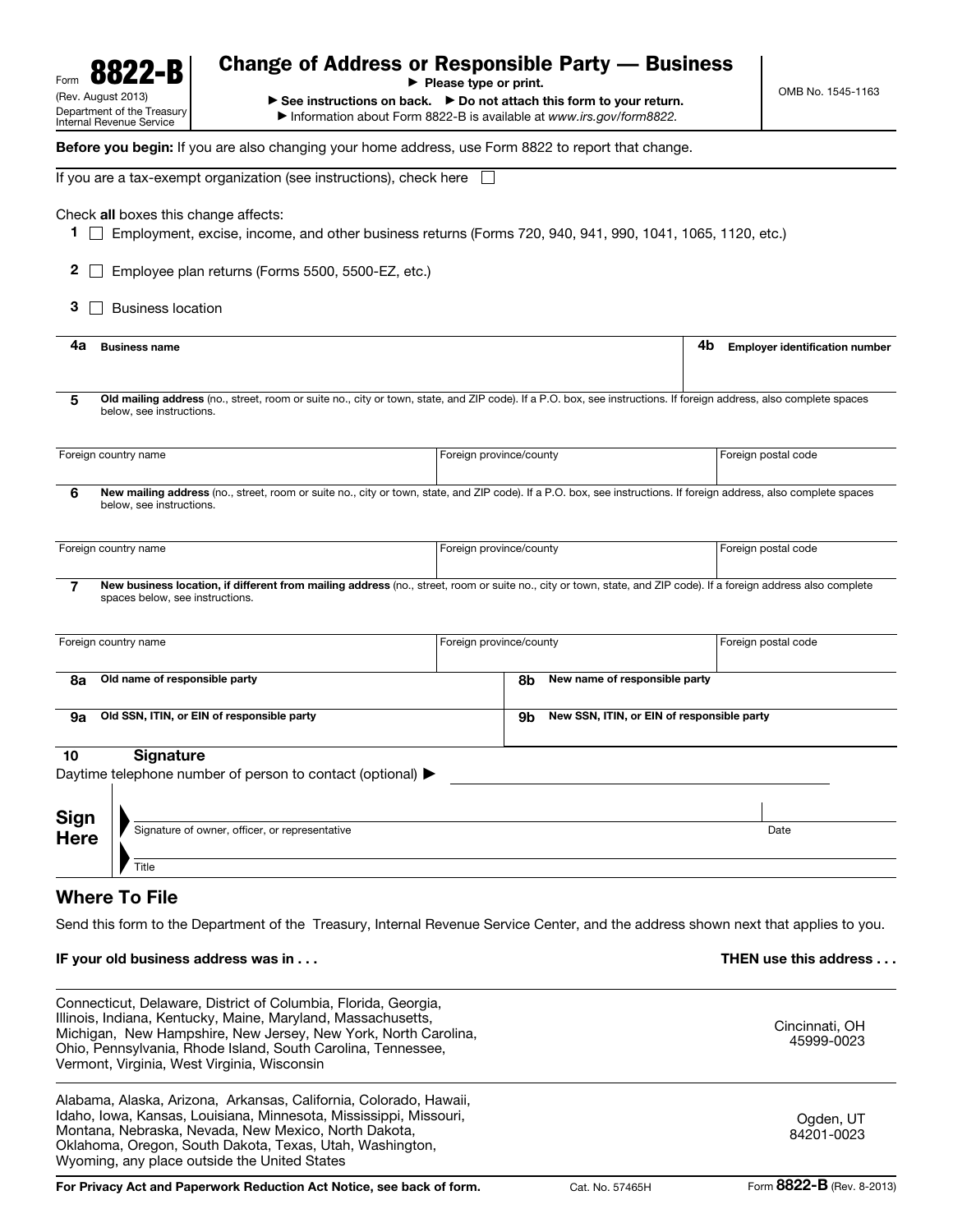| ·B<br>Form<br>(Rev. August 2013)<br>Department of the Treasury                                                                                                                                                                                                                                                  | Change of Address or Responsible Party — Business<br>$\blacktriangleright$ Please type or print.<br>$\triangleright$ See instructions on back. $\triangleright$ Do not attach this form to your return.<br>Information about Form 8822-B is available at www.irs.gov/form8822. |                         |                                            |                                             |
|-----------------------------------------------------------------------------------------------------------------------------------------------------------------------------------------------------------------------------------------------------------------------------------------------------------------|--------------------------------------------------------------------------------------------------------------------------------------------------------------------------------------------------------------------------------------------------------------------------------|-------------------------|--------------------------------------------|---------------------------------------------|
| Internal Revenue Service<br>Before you begin: If you are also changing your home address, use Form 8822 to report that change.                                                                                                                                                                                  |                                                                                                                                                                                                                                                                                |                         |                                            |                                             |
|                                                                                                                                                                                                                                                                                                                 | If you are a tax-exempt organization (see instructions), check here                                                                                                                                                                                                            |                         |                                            |                                             |
| Check all boxes this change affects:<br>1.<br>$\mathbf{2}$<br>3<br>Business location                                                                                                                                                                                                                            | Employment, excise, income, and other business returns (Forms 720, 940, 941, 990, 1041, 1065, 1120, etc.)<br>Employee plan returns (Forms 5500, 5500-EZ, etc.)                                                                                                                 |                         |                                            |                                             |
| 4a<br><b>Business name</b>                                                                                                                                                                                                                                                                                      |                                                                                                                                                                                                                                                                                |                         |                                            | 4b<br><b>Employer identification number</b> |
| 5<br>below, see instructions.                                                                                                                                                                                                                                                                                   | Old mailing address (no., street, room or suite no., city or town, state, and ZIP code). If a P.O. box, see instructions. If foreign address, also complete spaces                                                                                                             |                         |                                            |                                             |
| Foreign country name                                                                                                                                                                                                                                                                                            | Foreign province/county                                                                                                                                                                                                                                                        |                         |                                            | Foreign postal code                         |
| 6<br>below, see instructions.                                                                                                                                                                                                                                                                                   | New mailing address (no., street, room or suite no., city or town, state, and ZIP code). If a P.O. box, see instructions. If foreign address, also complete spaces                                                                                                             |                         |                                            |                                             |
| Foreign country name<br>Foreign province/county                                                                                                                                                                                                                                                                 |                                                                                                                                                                                                                                                                                |                         |                                            | Foreign postal code                         |
| 7<br>spaces below, see instructions.                                                                                                                                                                                                                                                                            | New business location, if different from mailing address (no., street, room or suite no., city or town, state, and ZIP code). If a foreign address also complete                                                                                                               |                         |                                            |                                             |
| Foreign country name                                                                                                                                                                                                                                                                                            |                                                                                                                                                                                                                                                                                | Foreign province/county |                                            | Foreign postal code                         |
| Old name of responsible party<br>8a                                                                                                                                                                                                                                                                             |                                                                                                                                                                                                                                                                                |                         | New name of responsible party<br>8b        |                                             |
| Old SSN, ITIN, or EIN of responsible party<br>9а<br>9b                                                                                                                                                                                                                                                          |                                                                                                                                                                                                                                                                                |                         | New SSN, ITIN, or EIN of responsible party |                                             |
| <b>Signature</b><br>10                                                                                                                                                                                                                                                                                          | Daytime telephone number of person to contact (optional) >                                                                                                                                                                                                                     |                         |                                            |                                             |
| <b>Sign</b><br><b>Here</b><br>Title                                                                                                                                                                                                                                                                             | Signature of owner, officer, or representative                                                                                                                                                                                                                                 |                         |                                            |                                             |
| <b>Where To File</b>                                                                                                                                                                                                                                                                                            |                                                                                                                                                                                                                                                                                |                         |                                            |                                             |
| IF your old business address was in                                                                                                                                                                                                                                                                             | Send this form to the Department of the Treasury, Internal Revenue Service Center, and the address shown next that applies to you.                                                                                                                                             |                         |                                            | THEN use this address                       |
| Connecticut, Delaware, District of Columbia, Florida, Georgia,<br>Illinois, Indiana, Kentucky, Maine, Maryland, Massachusetts,<br>Michigan, New Hampshire, New Jersey, New York, North Carolina,<br>Ohio, Pennsylvania, Rhode Island, South Carolina, Tennessee,<br>Vermont, Virginia, West Virginia, Wisconsin |                                                                                                                                                                                                                                                                                |                         |                                            | Cincinnati, OH<br>45999-0023                |
|                                                                                                                                                                                                                                                                                                                 | Alabama, Alaska, Arizona, Arkansas, California, Colorado, Hawaii,<br>Idaho, Iowa, Kansas, Louisiana, Minnesota, Mississippi, Missouri,<br>Montana, Nebraska, Nevada, New Mexico, North Dakota,                                                                                 |                         |                                            | Ogden, UT<br>84201-0023                     |

For Privacy Act and Paperwork Reduction Act Notice, see back of form. Cat. No. 57465H Form 8822-B (Rev. 8-2013)

Oklahoma, Oregon, South Dakota, Texas, Utah, Washington,

Wyoming, any place outside the United States